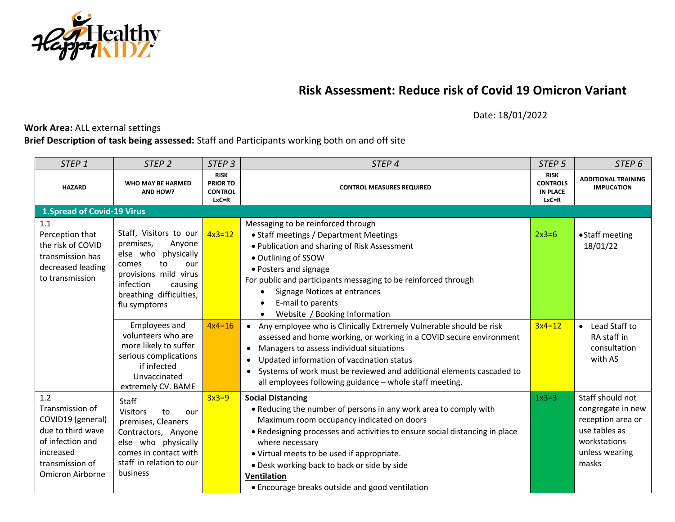

## **Risk Assessment: Reduce risk of Covid 19 Omicron Variant**

Date: 18/01/2022

## **Work Area:** ALL external settings

## **Brief Description of task being assessed:** Staff and Participants working both on and off site

| STEP <sub>1</sub>                                                                                                                               | STEP <sub>2</sub>                                                                                                                                                                      | STEP <sub>3</sub>                                             | STEP <sub>4</sub>                                                                                                                                                                                                                                                                                                                                                                                                 |          | STEP <sub>6</sub>                                                                                                      |
|-------------------------------------------------------------------------------------------------------------------------------------------------|----------------------------------------------------------------------------------------------------------------------------------------------------------------------------------------|---------------------------------------------------------------|-------------------------------------------------------------------------------------------------------------------------------------------------------------------------------------------------------------------------------------------------------------------------------------------------------------------------------------------------------------------------------------------------------------------|----------|------------------------------------------------------------------------------------------------------------------------|
| <b>HAZARD</b>                                                                                                                                   | WHO MAY BE HARMED<br>AND HOW?                                                                                                                                                          | <b>RISK</b><br><b>PRIOR TO</b><br><b>CONTROL</b><br>$LxC = R$ | <b>CONTROL MEASURES REQUIRED</b>                                                                                                                                                                                                                                                                                                                                                                                  |          | <b>ADDITIONAL TRAINING</b><br><b>IMPLICATION</b>                                                                       |
| <b>1. Spread of Covid-19 Virus</b>                                                                                                              |                                                                                                                                                                                        |                                                               |                                                                                                                                                                                                                                                                                                                                                                                                                   |          |                                                                                                                        |
| 1.1<br>Perception that<br>the risk of COVID<br>transmission has<br>decreased leading<br>to transmission                                         | Staff, Visitors to our<br>premises,<br>Anyone<br>else who physically<br>to<br>comes<br>our<br>provisions mild virus<br>infection<br>causing<br>breathing difficulties,<br>flu symptoms | $4x3=12$                                                      | Messaging to be reinforced through<br>• Staff meetings / Department Meetings<br>. Publication and sharing of Risk Assessment<br>· Outlining of SSOW<br>• Posters and signage<br>For public and participants messaging to be reinforced through<br>Signage Notices at entrances<br>E-mail to parents<br>$\bullet$<br>Website / Booking Information                                                                 | $2x3=6$  | • Staff meeting<br>18/01/22                                                                                            |
|                                                                                                                                                 | <b>Employees and</b><br>volunteers who are<br>more likely to suffer<br>serious complications<br>if infected<br>Unvaccinated<br>extremely CV. BAME                                      | $4x4=16$                                                      | • Any employee who is Clinically Extremely Vulnerable should be risk<br>assessed and home working, or working in a COVID secure environment<br>Managers to assess individual situations<br>$\bullet$<br>Updated information of vaccination status<br>$\bullet$<br>• Systems of work must be reviewed and additional elements cascaded to<br>all employees following guidance - whole staff meeting.               | $3x4=12$ | • Lead Staff to<br>RA staff in<br>consultation<br>with AS                                                              |
| 1.2<br>Transmission of<br>COVID19 (general)<br>due to third wave<br>of infection and<br>increased<br>transmission of<br><b>Omicron Airborne</b> | Staff<br><b>Visitors</b><br>to<br>our<br>premises, Cleaners<br>Contractors, Anyone<br>else who physically<br>comes in contact with<br>staff in relation to our<br>business             | $3x3=9$                                                       | <b>Social Distancing</b><br>• Reducing the number of persons in any work area to comply with<br>Maximum room occupancy indicated on doors<br>• Redesigning processes and activities to ensure social distancing in place<br>where necessary<br>• Virtual meets to be used if appropriate.<br>. Desk working back to back or side by side<br><b>Ventilation</b><br>• Encourage breaks outside and good ventilation | $1x3=3$  | Staff should not<br>congregate in new<br>reception area or<br>use tables as<br>workstations<br>unless wearing<br>masks |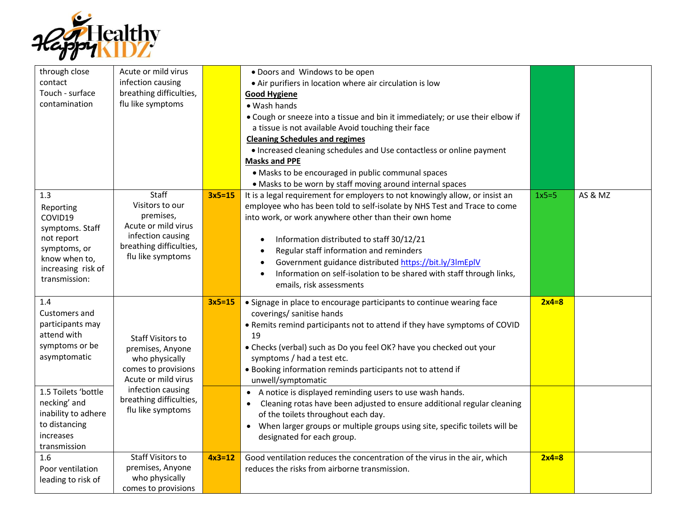

| through close<br>contact<br>Touch - surface<br>contamination                                                                         | Acute or mild virus<br>infection causing<br>breathing difficulties,<br>flu like symptoms                                          |          | . Doors and Windows to be open<br>• Air purifiers in location where air circulation is low<br><b>Good Hygiene</b><br>• Wash hands<br>• Cough or sneeze into a tissue and bin it immediately; or use their elbow if<br>a tissue is not available Avoid touching their face<br><b>Cleaning Schedules and regimes</b><br>• Increased cleaning schedules and Use contactless or online payment<br><b>Masks and PPE</b><br>• Masks to be encouraged in public communal spaces<br>• Masks to be worn by staff moving around internal spaces |         |         |
|--------------------------------------------------------------------------------------------------------------------------------------|-----------------------------------------------------------------------------------------------------------------------------------|----------|---------------------------------------------------------------------------------------------------------------------------------------------------------------------------------------------------------------------------------------------------------------------------------------------------------------------------------------------------------------------------------------------------------------------------------------------------------------------------------------------------------------------------------------|---------|---------|
| 1.3<br>Reporting<br>COVID19<br>symptoms. Staff<br>not report<br>symptoms, or<br>know when to,<br>increasing risk of<br>transmission: | Staff<br>Visitors to our<br>premises,<br>Acute or mild virus<br>infection causing<br>breathing difficulties,<br>flu like symptoms | $3x5=15$ | It is a legal requirement for employers to not knowingly allow, or insist an<br>employee who has been told to self-isolate by NHS Test and Trace to come<br>into work, or work anywhere other than their own home<br>Information distributed to staff 30/12/21<br>$\bullet$<br>Regular staff information and reminders<br>$\bullet$<br>Government guidance distributed https://bit.ly/3lmEplV<br>$\bullet$<br>Information on self-isolation to be shared with staff through links,<br>$\bullet$<br>emails, risk assessments           | $1x5=5$ | AS & MZ |
| 1.4<br>Customers and<br>participants may<br>attend with<br>symptoms or be<br>asymptomatic                                            | <b>Staff Visitors to</b><br>premises, Anyone<br>who physically<br>comes to provisions<br>Acute or mild virus                      | $3x5=15$ | • Signage in place to encourage participants to continue wearing face<br>coverings/ sanitise hands<br>. Remits remind participants not to attend if they have symptoms of COVID<br>19<br>• Checks (verbal) such as Do you feel OK? have you checked out your<br>symptoms / had a test etc.<br>• Booking information reminds participants not to attend if<br>unwell/symptomatic                                                                                                                                                       | $2x4=8$ |         |
| 1.5 Toilets 'bottle<br>necking' and<br>inability to adhere<br>to distancing<br>increases<br>transmission                             | infection causing<br>breathing difficulties,<br>flu like symptoms                                                                 |          | A notice is displayed reminding users to use wash hands.<br>Cleaning rotas have been adjusted to ensure additional regular cleaning<br>of the toilets throughout each day.<br>When larger groups or multiple groups using site, specific toilets will be<br>designated for each group.                                                                                                                                                                                                                                                |         |         |
| 1.6<br>Poor ventilation<br>leading to risk of                                                                                        | <b>Staff Visitors to</b><br>premises, Anyone<br>who physically<br>comes to provisions                                             | $4x3=12$ | Good ventilation reduces the concentration of the virus in the air, which<br>reduces the risks from airborne transmission.                                                                                                                                                                                                                                                                                                                                                                                                            | $2x4=8$ |         |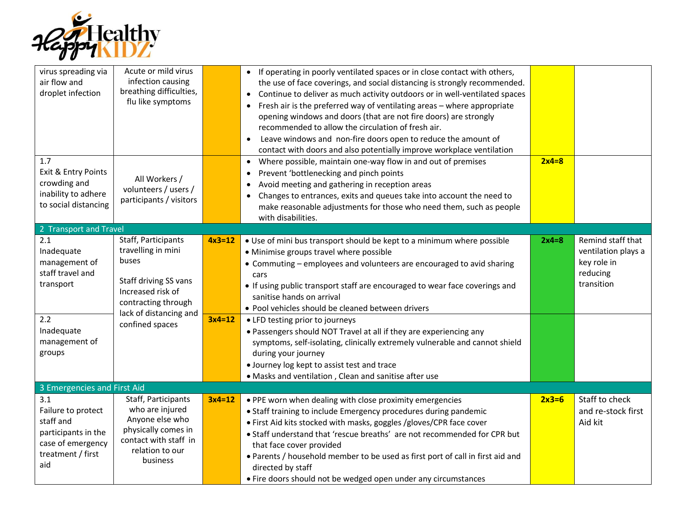

| virus spreading via<br>air flow and<br>droplet infection                                                            | Acute or mild virus<br>infection causing<br>breathing difficulties,<br>flu like symptoms                                                                             |                      | • If operating in poorly ventilated spaces or in close contact with others,<br>the use of face coverings, and social distancing is strongly recommended.<br>• Continue to deliver as much activity outdoors or in well-ventilated spaces<br>Fresh air is the preferred way of ventilating areas - where appropriate<br>opening windows and doors (that are not fire doors) are strongly<br>recommended to allow the circulation of fresh air.<br>Leave windows and non-fire doors open to reduce the amount of<br>contact with doors and also potentially improve workplace ventilation |         |                                                                                   |
|---------------------------------------------------------------------------------------------------------------------|----------------------------------------------------------------------------------------------------------------------------------------------------------------------|----------------------|-----------------------------------------------------------------------------------------------------------------------------------------------------------------------------------------------------------------------------------------------------------------------------------------------------------------------------------------------------------------------------------------------------------------------------------------------------------------------------------------------------------------------------------------------------------------------------------------|---------|-----------------------------------------------------------------------------------|
| 1.7<br>Exit & Entry Points<br>crowding and<br>inability to adhere<br>to social distancing                           | All Workers /<br>volunteers / users /<br>participants / visitors                                                                                                     |                      | • Where possible, maintain one-way flow in and out of premises<br>Prevent 'bottlenecking and pinch points<br>Avoid meeting and gathering in reception areas<br>Changes to entrances, exits and queues take into account the need to<br>make reasonable adjustments for those who need them, such as people<br>with disabilities.                                                                                                                                                                                                                                                        | $2x4=8$ |                                                                                   |
| 2 Transport and Travel                                                                                              |                                                                                                                                                                      |                      |                                                                                                                                                                                                                                                                                                                                                                                                                                                                                                                                                                                         |         |                                                                                   |
| 2.1<br>Inadequate<br>management of<br>staff travel and<br>transport<br>2.2<br>Inadequate<br>management of<br>groups | Staff, Participants<br>travelling in mini<br>buses<br>Staff driving SS vans<br>Increased risk of<br>contracting through<br>lack of distancing and<br>confined spaces | $4x3=12$<br>$3x4=12$ | • Use of mini bus transport should be kept to a minimum where possible<br>• Minimise groups travel where possible<br>• Commuting - employees and volunteers are encouraged to avid sharing<br>cars<br>• If using public transport staff are encouraged to wear face coverings and<br>sanitise hands on arrival<br>• Pool vehicles should be cleaned between drivers<br>• LFD testing prior to journeys<br>. Passengers should NOT Travel at all if they are experiencing any<br>symptoms, self-isolating, clinically extremely vulnerable and cannot shield<br>during your journey      | $2x4=8$ | Remind staff that<br>ventilation plays a<br>key role in<br>reducing<br>transition |
|                                                                                                                     |                                                                                                                                                                      |                      | · Journey log kept to assist test and trace                                                                                                                                                                                                                                                                                                                                                                                                                                                                                                                                             |         |                                                                                   |
|                                                                                                                     |                                                                                                                                                                      |                      | . Masks and ventilation, Clean and sanitise after use                                                                                                                                                                                                                                                                                                                                                                                                                                                                                                                                   |         |                                                                                   |
| 3 Emergencies and First Aid                                                                                         |                                                                                                                                                                      |                      |                                                                                                                                                                                                                                                                                                                                                                                                                                                                                                                                                                                         |         |                                                                                   |
| 3.1<br>Failure to protect<br>staff and<br>participants in the<br>case of emergency<br>treatment / first<br>aid      | Staff, Participants<br>who are injured<br>Anyone else who<br>physically comes in<br>contact with staff in<br>relation to our<br>business                             | $3x4=12$             | . PPE worn when dealing with close proximity emergencies<br>• Staff training to include Emergency procedures during pandemic<br>. First Aid kits stocked with masks, goggles /gloves/CPR face cover<br>• Staff understand that 'rescue breaths' are not recommended for CPR but<br>that face cover provided<br>. Parents / household member to be used as first port of call in first aid and<br>directed by staff<br>• Fire doors should not be wedged open under any circumstances                                                                                                    | $2x3=6$ | Staff to check<br>and re-stock first<br>Aid kit                                   |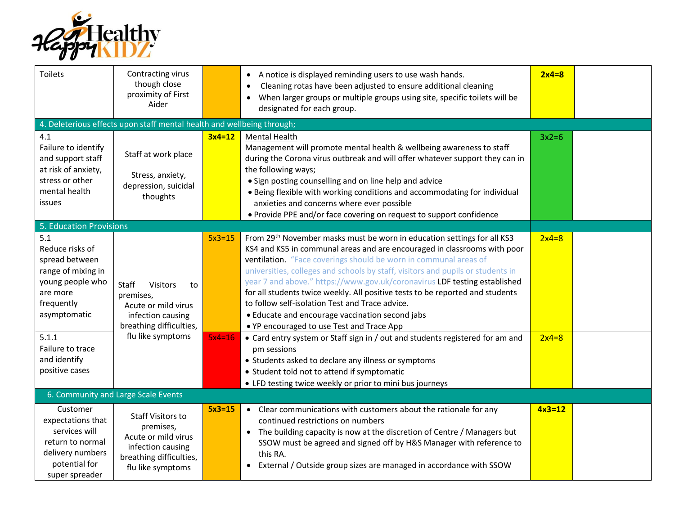

| <b>Toilets</b>                                                                                                               | Contracting virus<br>though close<br>proximity of First<br>Aider                                                                  |          | • A notice is displayed reminding users to use wash hands.<br>Cleaning rotas have been adjusted to ensure additional cleaning<br>When larger groups or multiple groups using site, specific toilets will be<br>designated for each group.                                                                                                                                                                                                                                                                                                                                                                                               | $2x4=8$  |  |
|------------------------------------------------------------------------------------------------------------------------------|-----------------------------------------------------------------------------------------------------------------------------------|----------|-----------------------------------------------------------------------------------------------------------------------------------------------------------------------------------------------------------------------------------------------------------------------------------------------------------------------------------------------------------------------------------------------------------------------------------------------------------------------------------------------------------------------------------------------------------------------------------------------------------------------------------------|----------|--|
| 4. Deleterious effects upon staff mental health and wellbeing through;                                                       |                                                                                                                                   |          |                                                                                                                                                                                                                                                                                                                                                                                                                                                                                                                                                                                                                                         |          |  |
| 4.1<br>Failure to identify<br>and support staff<br>at risk of anxiety,<br>stress or other<br>mental health<br>issues         | Staff at work place<br>Stress, anxiety,<br>depression, suicidal<br>thoughts                                                       | $3x4=12$ | <b>Mental Health</b><br>Management will promote mental health & wellbeing awareness to staff<br>during the Corona virus outbreak and will offer whatever support they can in<br>the following ways;<br>• Sign posting counselling and on line help and advice<br>• Being flexible with working conditions and accommodating for individual<br>anxieties and concerns where ever possible<br>• Provide PPE and/or face covering on request to support confidence                                                                                                                                                                         | $3x2=6$  |  |
| <b>5. Education Provisions</b>                                                                                               |                                                                                                                                   |          |                                                                                                                                                                                                                                                                                                                                                                                                                                                                                                                                                                                                                                         |          |  |
| 5.1<br>Reduce risks of<br>spread between<br>range of mixing in<br>young people who<br>are more<br>frequently<br>asymptomatic | Staff<br>Visitors<br>to<br>premises,<br>Acute or mild virus<br>infection causing<br>breathing difficulties,                       | $5x3=15$ | From 29 <sup>th</sup> November masks must be worn in education settings for all KS3<br>KS4 and KS5 in communal areas and are encouraged in classrooms with poor<br>ventilation. "Face coverings should be worn in communal areas of<br>universities, colleges and schools by staff, visitors and pupils or students in<br>year 7 and above." https://www.gov.uk/coronavirus LDF testing established<br>for all students twice weekly. All positive tests to be reported and students<br>to follow self-isolation Test and Trace advice.<br>• Educate and encourage vaccination second jabs<br>• YP encouraged to use Test and Trace App | $2x4=8$  |  |
| 5.1.1<br>Failure to trace<br>and identify<br>positive cases                                                                  | flu like symptoms                                                                                                                 | $5x4=16$ | • Card entry system or Staff sign in / out and students registered for am and<br>pm sessions<br>• Students asked to declare any illness or symptoms<br>• Student told not to attend if symptomatic<br>• LFD testing twice weekly or prior to mini bus journeys                                                                                                                                                                                                                                                                                                                                                                          | $2x4=8$  |  |
| 6. Community and Large Scale Events                                                                                          |                                                                                                                                   |          |                                                                                                                                                                                                                                                                                                                                                                                                                                                                                                                                                                                                                                         |          |  |
| Customer<br>expectations that<br>services will<br>return to normal<br>delivery numbers<br>potential for<br>super spreader    | <b>Staff Visitors to</b><br>premises,<br>Acute or mild virus<br>infection causing<br>breathing difficulties,<br>flu like symptoms | $5x3=15$ | • Clear communications with customers about the rationale for any<br>continued restrictions on numbers<br>• The building capacity is now at the discretion of Centre / Managers but<br>SSOW must be agreed and signed off by H&S Manager with reference to<br>this RA.<br>• External / Outside group sizes are managed in accordance with SSOW                                                                                                                                                                                                                                                                                          | $4x3=12$ |  |